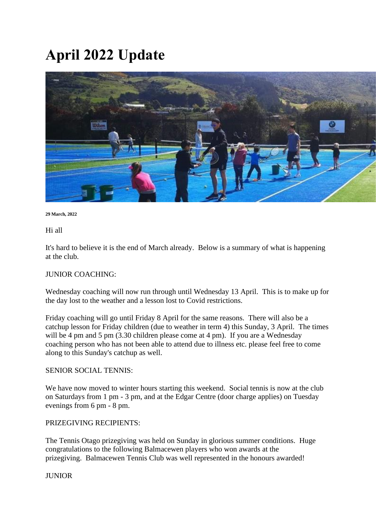# **April 2022 Update**



#### **29 March, 2022**

Hi all

It's hard to believe it is the end of March already. Below is a summary of what is happening at the club.

### JUNIOR COACHING:

Wednesday coaching will now run through until Wednesday 13 April. This is to make up for the day lost to the weather and a lesson lost to Covid restrictions.

Friday coaching will go until Friday 8 April for the same reasons. There will also be a catchup lesson for Friday children (due to weather in term 4) this Sunday, 3 April. The times will be 4 pm and 5 pm (3.30 children please come at 4 pm). If you are a Wednesday coaching person who has not been able to attend due to illness etc. please feel free to come along to this Sunday's catchup as well.

## SENIOR SOCIAL TENNIS:

We have now moved to winter hours starting this weekend. Social tennis is now at the club on Saturdays from 1 pm - 3 pm, and at the Edgar Centre (door charge applies) on Tuesday evenings from 6 pm - 8 pm.

### PRIZEGIVING RECIPIENTS:

The Tennis Otago prizegiving was held on Sunday in glorious summer conditions. Huge congratulations to the following Balmacewen players who won awards at the prizegiving. Balmacewen Tennis Club was well represented in the honours awarded!

### **IUNIOR**